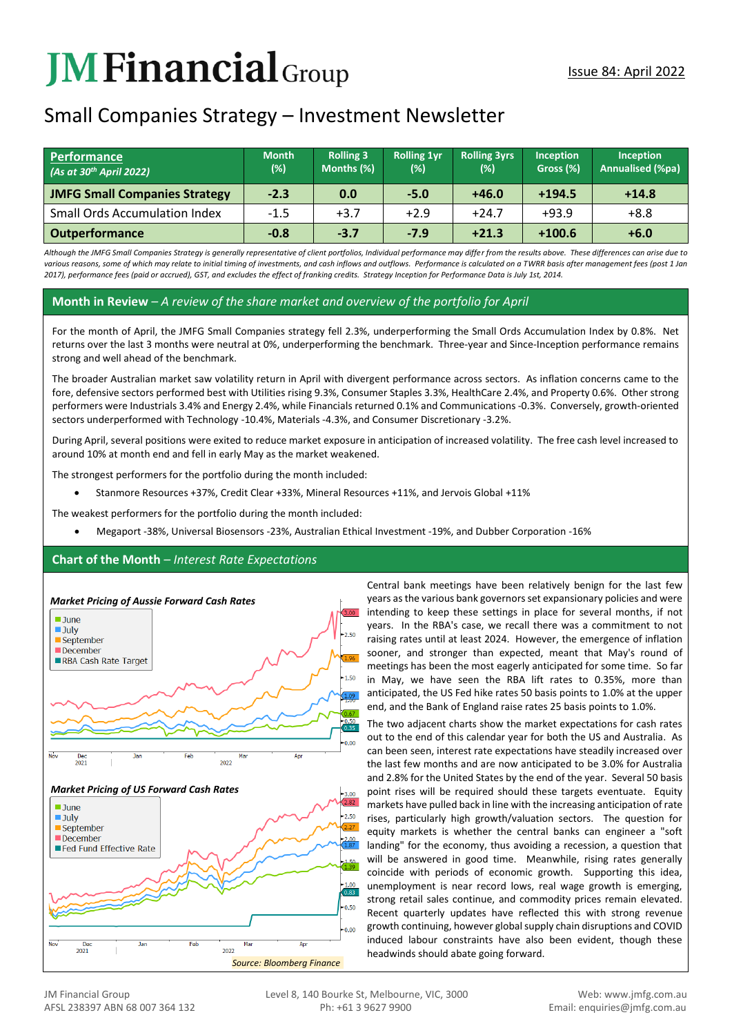# **JMFinancial**Group

# Small Companies Strategy – Investment Newsletter

| Performance<br>(As at 30 <sup>th</sup> April 2022) | <b>Month</b><br>(%) | <b>Rolling 3</b><br>Months (%) | <b>Rolling 1yr</b><br>(%) | <b>Rolling 3yrs</b><br>(%) | <b>Inception</b><br>Gross (%) | <b>Inception</b><br>Annualised (%pa) |
|----------------------------------------------------|---------------------|--------------------------------|---------------------------|----------------------------|-------------------------------|--------------------------------------|
| <b>JMFG Small Companies Strategy</b>               | $-2.3$              | 0.0                            | $-5.0$                    | $+46.0$                    | $+194.5$                      | $+14.8$                              |
| <b>Small Ords Accumulation Index</b>               | $-1.5$              | $+3.7$                         | $+2.9$                    | $+24.7$                    | $+93.9$                       | $+8.8$                               |
| <b>Outperformance</b>                              | $-0.8$              | $-3.7$                         | $-7.9$                    | $+21.3$                    | $+100.6$                      | $+6.0$                               |

*Although the JMFG Small Companies Strategy is generally representative of client portfolios, Individual performance may differ from the results above. These differences can arise due to*  various reasons, some of which may relate to initial timing of investments, and cash inflows and outflows. Performance is calculated on a TWRR basis after management fees (post 1 Jan *2017), performance fees (paid or accrued), GST, and excludes the effect of franking credits. Strategy Inception for Performance Data is July 1st, 2014.*

### **Month in Review** *– A review of the share market and overview of the portfolio for April*

For the month of April, the JMFG Small Companies strategy fell 2.3%, underperforming the Small Ords Accumulation Index by 0.8%. Net returns over the last 3 months were neutral at 0%, underperforming the benchmark. Three-year and Since-Inception performance remains strong and well ahead of the benchmark.

The broader Australian market saw volatility return in April with divergent performance across sectors. As inflation concerns came to the fore, defensive sectors performed best with Utilities rising 9.3%, Consumer Staples 3.3%, HealthCare 2.4%, and Property 0.6%. Other strong performers were Industrials 3.4% and Energy 2.4%, while Financials returned 0.1% and Communications -0.3%. Conversely, growth-oriented sectors underperformed with Technology -10.4%, Materials -4.3%, and Consumer Discretionary -3.2%.

During April, several positions were exited to reduce market exposure in anticipation of increased volatility. The free cash level increased to around 10% at month end and fell in early May as the market weakened.

The strongest performers for the portfolio during the month included:

- Stanmore Resources +37%, Credit Clear +33%, Mineral Resources +11%, and Jervois Global +11%
- The weakest performers for the portfolio during the month included:
	- Megaport -38%, Universal Biosensors -23%, Australian Ethical Investment -19%, and Dubber Corporation -16%

## **Chart of the Month** *– Interest Rate Expectations*



Central bank meetings have been relatively benign for the last few years as the various bank governors set expansionary policies and were intending to keep these settings in place for several months, if not years. In the RBA's case, we recall there was a commitment to not raising rates until at least 2024. However, the emergence of inflation sooner, and stronger than expected, meant that May's round of meetings has been the most eagerly anticipated for some time. So far in May, we have seen the RBA lift rates to 0.35%, more than anticipated, the US Fed hike rates 50 basis points to 1.0% at the upper end, and the Bank of England raise rates 25 basis points to 1.0%.

The two adjacent charts show the market expectations for cash rates out to the end of this calendar year for both the US and Australia. As can been seen, interest rate expectations have steadily increased over the last few months and are now anticipated to be 3.0% for Australia and 2.8% for the United States by the end of the year. Several 50 basis point rises will be required should these targets eventuate. Equity markets have pulled back in line with the increasing anticipation of rate rises, particularly high growth/valuation sectors. The question for equity markets is whether the central banks can engineer a "soft landing" for the economy, thus avoiding a recession, a question that will be answered in good time. Meanwhile, rising rates generally coincide with periods of economic growth. Supporting this idea, unemployment is near record lows, real wage growth is emerging, strong retail sales continue, and commodity prices remain elevated. Recent quarterly updates have reflected this with strong revenue growth continuing, however global supply chain disruptions and COVID induced labour constraints have also been evident, though these headwinds should abate going forward.